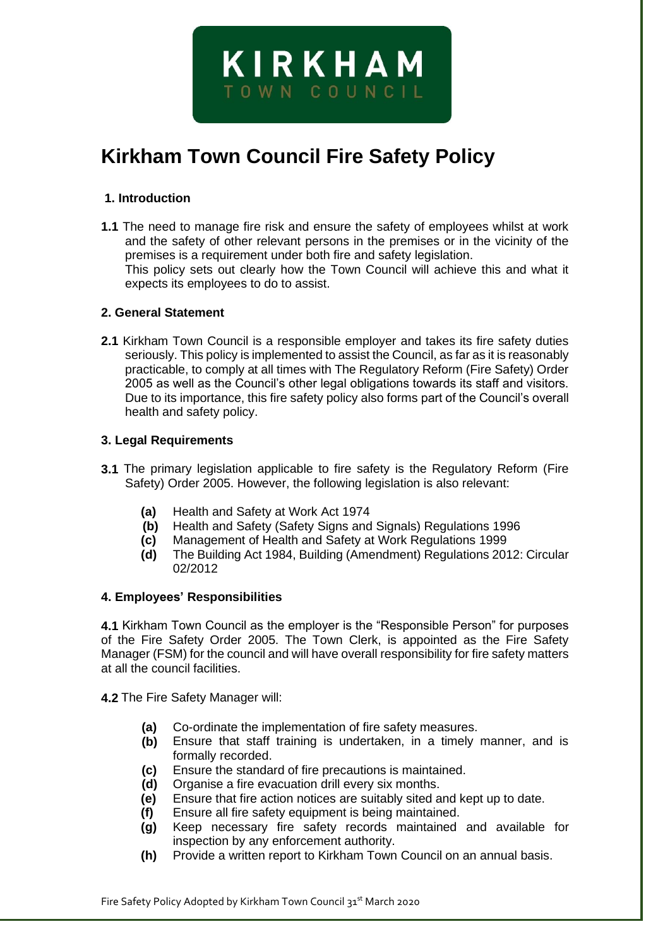# **Kirkham Town Council Fire Safety Policy**

**KIRKHAM** 

TOWN COUNCIL

#### **1. Introduction**

**1.1** The need to manage fire risk and ensure the safety of employees whilst at work and the safety of other relevant persons in the premises or in the vicinity of the premises is a requirement under both fire and safety legislation. This policy sets out clearly how the Town Council will achieve this and what it expects its employees to do to assist.

#### **2. General Statement**

**2.1** Kirkham Town Council is a responsible employer and takes its fire safety duties seriously. This policy is implemented to assist the Council, as far as it is reasonably practicable, to comply at all times with The Regulatory Reform (Fire Safety) Order 2005 as well as the Council's other legal obligations towards its staff and visitors. Due to its importance, this fire safety policy also forms part of the Council's overall health and safety policy.

#### **3. Legal Requirements**

- **3.1** The primary legislation applicable to fire safety is the Regulatory Reform (Fire Safety) Order 2005. However, the following legislation is also relevant:
	- **(a)** Health and Safety at Work Act 1974
	- **(b)** Health and Safety (Safety Signs and Signals) Regulations 1996
	- **(c)** Management of Health and Safety at Work Regulations 1999
	- **(d)** The Building Act 1984, Building (Amendment) Regulations 2012: Circular 02/2012

#### **4. Employees' Responsibilities**

**4.1** Kirkham Town Council as the employer is the "Responsible Person" for purposes of the Fire Safety Order 2005. The Town Clerk, is appointed as the Fire Safety Manager (FSM) for the council and will have overall responsibility for fire safety matters at all the council facilities.

**4.2** The Fire Safety Manager will:

- **(a)** Co-ordinate the implementation of fire safety measures.
- **(b)** Ensure that staff training is undertaken, in a timely manner, and is formally recorded.
- **(c)** Ensure the standard of fire precautions is maintained.
- **(d)** Organise a fire evacuation drill every six months.
- **(e)** Ensure that fire action notices are suitably sited and kept up to date.
- **(f)** Ensure all fire safety equipment is being maintained.
- **(g)** Keep necessary fire safety records maintained and available for inspection by any enforcement authority.
- **(h)** Provide a written report to Kirkham Town Council on an annual basis.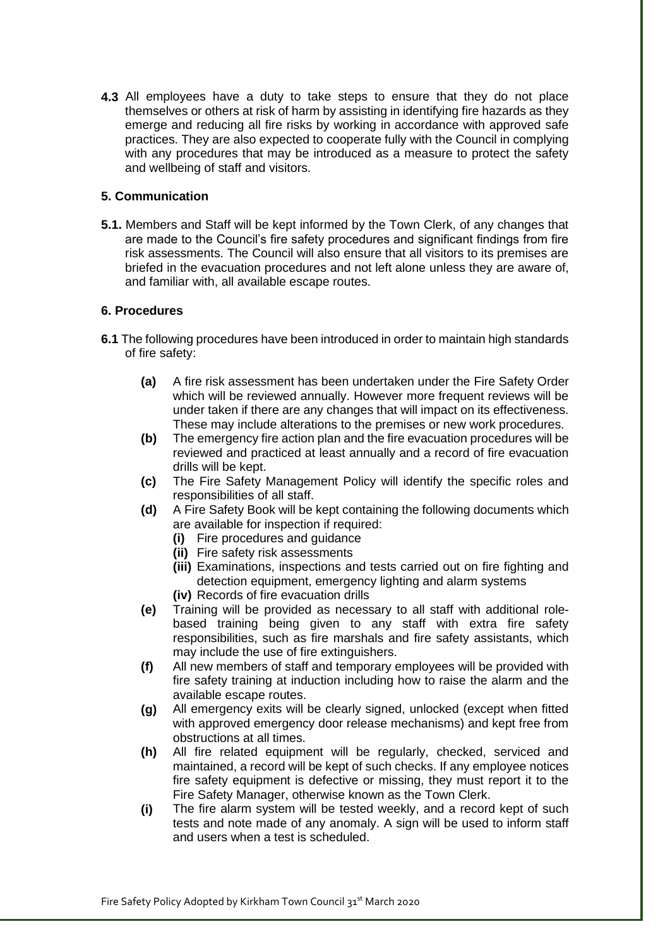**4.3** All employees have a duty to take steps to ensure that they do not place themselves or others at risk of harm by assisting in identifying fire hazards as they emerge and reducing all fire risks by working in accordance with approved safe practices. They are also expected to cooperate fully with the Council in complying with any procedures that may be introduced as a measure to protect the safety and wellbeing of staff and visitors.

## **5. Communication**

**5.1.** Members and Staff will be kept informed by the Town Clerk, of any changes that are made to the Council's fire safety procedures and significant findings from fire risk assessments. The Council will also ensure that all visitors to its premises are briefed in the evacuation procedures and not left alone unless they are aware of, and familiar with, all available escape routes.

## **6. Procedures**

- **6.1** The following procedures have been introduced in order to maintain high standards of fire safety:
	- **(a)** A fire risk assessment has been undertaken under the Fire Safety Order which will be reviewed annually. However more frequent reviews will be under taken if there are any changes that will impact on its effectiveness. These may include alterations to the premises or new work procedures.
	- **(b)** The emergency fire action plan and the fire evacuation procedures will be reviewed and practiced at least annually and a record of fire evacuation drills will be kept.
	- **(c)** The Fire Safety Management Policy will identify the specific roles and responsibilities of all staff.
	- **(d)** A Fire Safety Book will be kept containing the following documents which are available for inspection if required:
		- **(i)** Fire procedures and guidance
		- **(ii)** Fire safety risk assessments
		- **(iii)** Examinations, inspections and tests carried out on fire fighting and detection equipment, emergency lighting and alarm systems
		- **(iv)** Records of fire evacuation drills
	- **(e)** Training will be provided as necessary to all staff with additional rolebased training being given to any staff with extra fire safety responsibilities, such as fire marshals and fire safety assistants, which may include the use of fire extinguishers.
	- **(f)** All new members of staff and temporary employees will be provided with fire safety training at induction including how to raise the alarm and the available escape routes.
	- **(g)** All emergency exits will be clearly signed, unlocked (except when fitted with approved emergency door release mechanisms) and kept free from obstructions at all times.
	- **(h)** All fire related equipment will be regularly, checked, serviced and maintained, a record will be kept of such checks. If any employee notices fire safety equipment is defective or missing, they must report it to the Fire Safety Manager, otherwise known as the Town Clerk.
	- **(i)** The fire alarm system will be tested weekly, and a record kept of such tests and note made of any anomaly. A sign will be used to inform staff and users when a test is scheduled.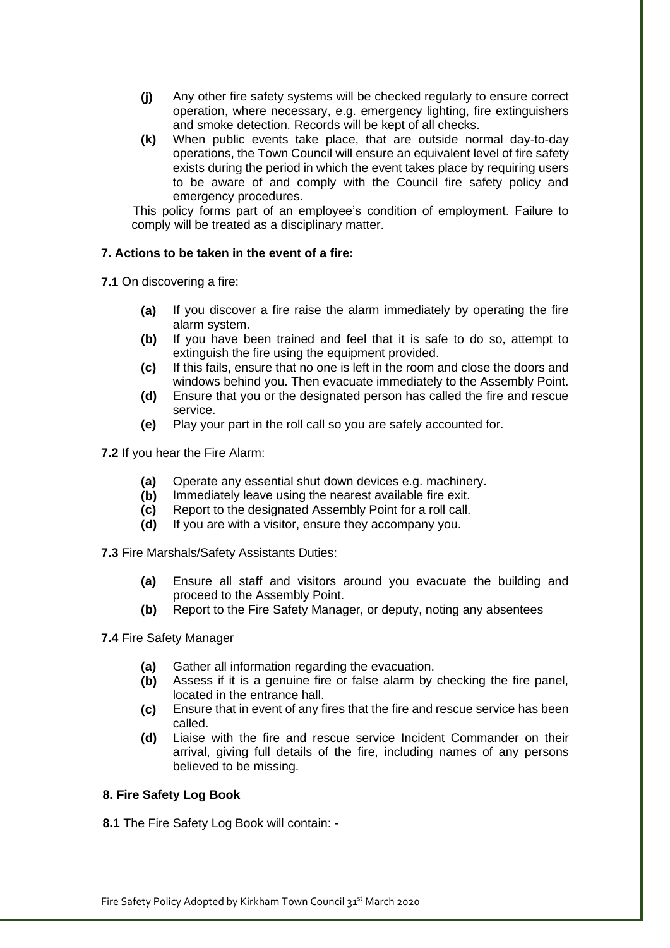- **(j)** Any other fire safety systems will be checked regularly to ensure correct operation, where necessary, e.g. emergency lighting, fire extinguishers and smoke detection. Records will be kept of all checks.
- **(k)** When public events take place, that are outside normal day-to-day operations, the Town Council will ensure an equivalent level of fire safety exists during the period in which the event takes place by requiring users to be aware of and comply with the Council fire safety policy and emergency procedures.

This policy forms part of an employee's condition of employment. Failure to comply will be treated as a disciplinary matter.

## **7. Actions to be taken in the event of a fire:**

**7.1** On discovering a fire:

- **(a)** If you discover a fire raise the alarm immediately by operating the fire alarm system.
- **(b)** If you have been trained and feel that it is safe to do so, attempt to extinguish the fire using the equipment provided.
- **(c)** If this fails, ensure that no one is left in the room and close the doors and windows behind you. Then evacuate immediately to the Assembly Point.
- **(d)** Ensure that you or the designated person has called the fire and rescue service.
- **(e)** Play your part in the roll call so you are safely accounted for.

**7.2** If you hear the Fire Alarm:

- **(a)** Operate any essential shut down devices e.g. machinery.
- **(b)** Immediately leave using the nearest available fire exit.
- **(c)** Report to the designated Assembly Point for a roll call.
- **(d)** If you are with a visitor, ensure they accompany you.

**7.3** Fire Marshals/Safety Assistants Duties:

- **(a)** Ensure all staff and visitors around you evacuate the building and proceed to the Assembly Point.
- **(b)** Report to the Fire Safety Manager, or deputy, noting any absentees

**7.4** Fire Safety Manager

- **(a)** Gather all information regarding the evacuation.
- **(b)** Assess if it is a genuine fire or false alarm by checking the fire panel, located in the entrance hall.
- **(c)** Ensure that in event of any fires that the fire and rescue service has been called.
- **(d)** Liaise with the fire and rescue service Incident Commander on their arrival, giving full details of the fire, including names of any persons believed to be missing.

#### **8. Fire Safety Log Book**

**8.1** The Fire Safety Log Book will contain: -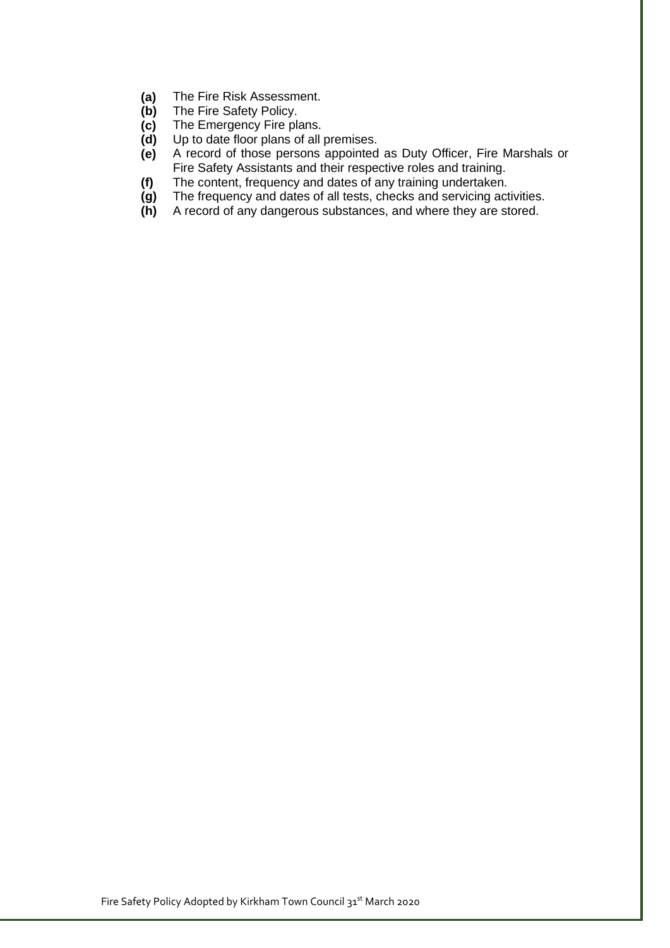- **(a)** The Fire Risk Assessment.
- **(b)** The Fire Safety Policy.
- **(c)** The Emergency Fire plans.
- **(d)** Up to date floor plans of all premises.
- **(e)** A record of those persons appointed as Duty Officer, Fire Marshals or Fire Safety Assistants and their respective roles and training.
- **(f)** The content, frequency and dates of any training undertaken.
- **(g)** The frequency and dates of all tests, checks and servicing activities.
- **(h)** A record of any dangerous substances, and where they are stored.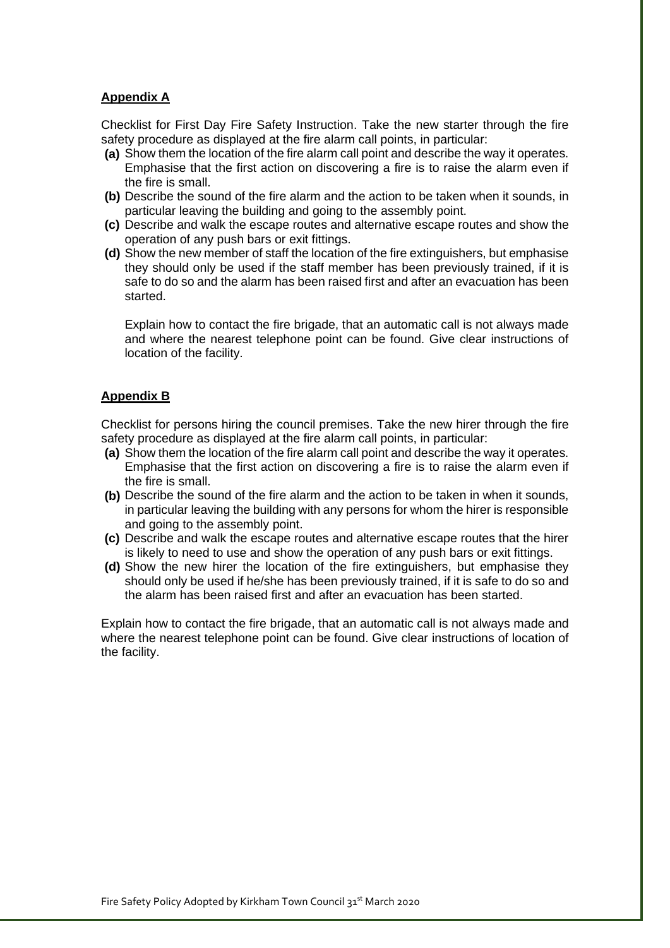# **Appendix A**

Checklist for First Day Fire Safety Instruction. Take the new starter through the fire safety procedure as displayed at the fire alarm call points, in particular:

- **(a)** Show them the location of the fire alarm call point and describe the way it operates. Emphasise that the first action on discovering a fire is to raise the alarm even if the fire is small.
- **(b)** Describe the sound of the fire alarm and the action to be taken when it sounds, in particular leaving the building and going to the assembly point.
- **(c)** Describe and walk the escape routes and alternative escape routes and show the operation of any push bars or exit fittings.
- **(d)** Show the new member of staff the location of the fire extinguishers, but emphasise they should only be used if the staff member has been previously trained, if it is safe to do so and the alarm has been raised first and after an evacuation has been started.

Explain how to contact the fire brigade, that an automatic call is not always made and where the nearest telephone point can be found. Give clear instructions of location of the facility.

# **Appendix B**

Checklist for persons hiring the council premises. Take the new hirer through the fire safety procedure as displayed at the fire alarm call points, in particular:

- **(a)** Show them the location of the fire alarm call point and describe the way it operates. Emphasise that the first action on discovering a fire is to raise the alarm even if the fire is small.
- **(b)** Describe the sound of the fire alarm and the action to be taken in when it sounds, in particular leaving the building with any persons for whom the hirer is responsible and going to the assembly point.
- **(c)** Describe and walk the escape routes and alternative escape routes that the hirer is likely to need to use and show the operation of any push bars or exit fittings.
- **(d)** Show the new hirer the location of the fire extinguishers, but emphasise they should only be used if he/she has been previously trained, if it is safe to do so and the alarm has been raised first and after an evacuation has been started.

Explain how to contact the fire brigade, that an automatic call is not always made and where the nearest telephone point can be found. Give clear instructions of location of the facility.